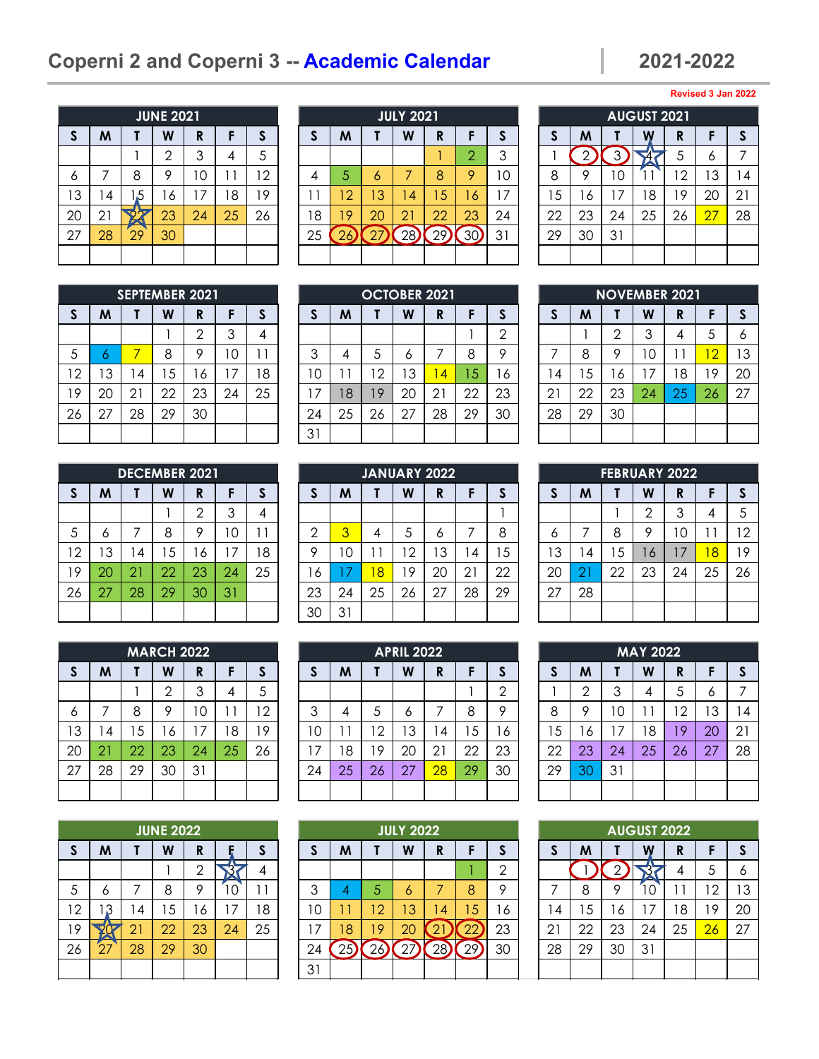# **Coperni 2 and Coperni 3 -- Academic Calendar 2021-2022**

**Revised 3 Jan 2022**

|              |    |     | <b>JUNE 2021</b> |    |    |              |
|--------------|----|-----|------------------|----|----|--------------|
| $\mathsf{s}$ | M  | Τ   | W                | R  | F  | $\mathsf{s}$ |
|              |    |     | $\mathbf{2}$     | 3  | 4  | 5            |
| 6            | 7  | 8   | 9                | 10 | 11 | 12           |
| 13           | 4  | 1,5 | 16               | 17 | 18 | 19           |
| 20           | 21 |     | 23               | 24 | 25 | 26           |
| 27           | 28 | 29  | 30               |    |    |              |
|              |    |     |                  |    |    |              |

| M     |    | W  | R  |                  |     |    | M  |    | W  | R  |                  | J. |    | M  |    | W   | D<br>N |                    | -S             |
|-------|----|----|----|------------------|-----|----|----|----|----|----|------------------|----|----|----|----|-----|--------|--------------------|----------------|
|       |    |    | 3  |                  |     |    |    |    |    |    | ⌒                | 3  |    |    |    |     |        | $\circ$            |                |
|       | 8  | o  | 10 |                  | - 2 |    | 5  | Ō  |    | 8  | Q                | 10 | 8  | Q  | U  |     | 2      | $\sim$<br>J        | $\overline{4}$ |
| 4     | 5، | 6  | 7  | 8                | 9   |    | 12 | 3  | 4  | 5  | 6                |    | 5  | 6  |    | 8 ا | 19     | 20                 | 21             |
| $2^1$ |    | 23 | 24 | 25               | 26  | 8  | 19 | 20 | 21 | 22 | 23               | 24 | 22 | 23 | 24 | 25  | 26     | 27                 | 28             |
| 28    | 29 | 30 |    |                  |     | 25 | Ζc |    | 28 | 29 | 30               | 31 | 29 | 30 | 31 |     |        |                    |                |
|       |    |    |    |                  |     |    |    |    |    |    |                  |    |    |    |    |     |        |                    |                |
|       |    |    |    | <b>JUNE 2021</b> |     |    |    |    |    |    | <b>JULY 2021</b> |    |    |    |    |     |        | <b>AUGUST 2021</b> |                |

|              |                |    | <b>AUGUST 2021</b> |    |    |              |
|--------------|----------------|----|--------------------|----|----|--------------|
| $\mathsf{s}$ | M              |    |                    | R  | F  | $\mathsf{s}$ |
|              | $\overline{2}$ | っ  |                    | 5  | 6  | 7            |
| 8            | 9              | 10 |                    | 12 | 13 | 14           |
| 15           | 16             | 17 | 18                 | 19 | 20 | 21           |
| 22           | 23             | 24 | 25                 | 26 | 27 | 28           |
| 29           | 30             | 31 |                    |    |    |              |
|              |                |    |                    |    |    |              |

|                |    | <b>SEPTEMBER 2021</b> |    |                |    |    |
|----------------|----|-----------------------|----|----------------|----|----|
| $\mathsf{s}$   | M  |                       | W  | R              | F  | S  |
|                |    |                       |    | $\overline{2}$ | 3  |    |
| $\overline{5}$ | 6  | 7                     | 8  | 9              | 10 | 11 |
| 12             | 13 | 14                    | 15 | 16             | 17 | 18 |
| 19             | 20 | 21                    | 22 | 23             | 24 | 25 |
| 26             | 27 | 28                    | 29 | 30             |    |    |
|                |    |                       |    |                |    |    |

|              |    |    | <b>DECEMBER 2021</b> |                |    |    |
|--------------|----|----|----------------------|----------------|----|----|
| $\mathsf{s}$ | M  |    | W                    | R              | F  | S  |
|              |    |    |                      | $\overline{2}$ | 3  |    |
| 5            | 6  | 7  | 8                    | 9              | 10 | 11 |
| 12           | 13 | 14 | 15                   | 16             | 17 | 18 |
| 19           | 20 | 21 | 22                   | 23             | 24 | 25 |
| 26           | 27 | 28 | 29                   | 30             | 31 |    |
|              |    |    |                      |                |    |    |

|              |    |    | <b>MARCH 2022</b> |    |    |    |
|--------------|----|----|-------------------|----|----|----|
| $\mathsf{s}$ | M  |    | W                 | R  | F  | S  |
|              |    |    | $\overline{2}$    | 3  | 4  | 5  |
| 6            | 7  | 8  | 9                 | 10 | 11 | 12 |
| 13           | 14 | 15 | 16                | 17 | 18 | 19 |
| 20           | 21 | 22 | 23                | 24 | 25 | 26 |
| 27           | 28 | 29 | 30                | 31 |    |    |
|              |    |    |                   |    |    |    |

|              |    |    | <b>JUNE 2022</b> |                |    |    |
|--------------|----|----|------------------|----------------|----|----|
| $\mathsf{s}$ | M  |    | W                | R              |    | S  |
|              |    |    |                  | $\overline{2}$ |    |    |
| 5            | 6  | 7  | 8                | 9              | C  | 11 |
| 12           | 3  | 14 | 15               | 16             | 17 | 18 |
| 19           |    | 21 | 22               | 23             | 24 | 25 |
| 26           | 27 | 28 | 29               | 30             |    |    |
|              |    |    |                  |                |    |    |

|    |    | <b>SEPTEMBER 2021</b> |    |    |    |    |                |    | <b>OCTOBER 2021</b> |    |                |    |    |    |    |    |    | <b>NOVEMBER 2021</b> |                |          |
|----|----|-----------------------|----|----|----|----|----------------|----|---------------------|----|----------------|----|----|----|----|----|----|----------------------|----------------|----------|
| S  | M  |                       | W  | R  |    |    |                | M  |                     | W  | R              |    | a  |    | M  |    | W  | D<br>N               |                | <b>S</b> |
|    |    |                       |    | ◠  |    |    |                |    |                     |    |                |    | ◠  |    |    | ∩  | 3  |                      | ა              | 6        |
| 5  |    |                       | 8  | o  | 10 |    | ⌒              | 4  |                     | O  |                | 8  | ٥  |    | 8  | Q  | 10 |                      | $\overline{2}$ | 13       |
| 12 | 3  | . 4                   | 5  | 6  | 7  | 8  | $\Omega$       |    | $\overline{2}$      | 3  | 4              | 5  | 16 | 4  | 5  | 6  |    | 8                    | 19             | 20       |
| 19 | 20 | 21                    | 22 | 23 | 24 | 25 | $\overline{7}$ | 18 | 19                  | 20 | 2 <sup>1</sup> | 22 | 23 | ∠  | 22 | 23 | 24 | 25                   | 26             | 27       |
| 26 | 27 | 28                    | 29 | 30 |    |    | 24             | 25 | 26                  | 27 | 28             | 29 | 30 | 28 | 29 | 30 |    |                      |                |          |
|    |    |                       |    |    |    |    | 31             |    |                     |    |                |    |    |    |    |    |    |                      |                |          |

|    |    | <b>DECEMBER 2021</b> |    |    |          |    |    |     | <b>JANUARY 2022</b> |    |    |    |    |        |    | <b>FEBRUARY 2022</b> |         |    |    |    |
|----|----|----------------------|----|----|----------|----|----|-----|---------------------|----|----|----|----|--------|----|----------------------|---------|----|----|----|
| S  | M  |                      | W  | R  |          |    |    | M   |                     | W  | R  |    |    |        | M  |                      | W       | D  |    | S  |
|    |    |                      |    | ⌒  |          |    |    |     |                     |    |    |    |    |        |    |                      | ◠       |    | 4  | 5  |
| 5  | o  |                      | o  | о  | $\Omega$ |    | ⌒  | 3   | 4                   |    | O  |    | 8  |        |    | 8                    | ٥       |    |    | 12 |
| 12 | 3  | . 4                  | 5  | 6  | 7        | 18 | O  | 1 C |                     | 2  | 3  | 4  | 5  | 3      | 4  | 5                    | $\circ$ |    | 8  | 19 |
| 19 | 20 | 21                   | 22 | 23 | 24       | 25 | 6  |     | 8                   | 9  | 20 | 21 | 22 | 20     |    | 22                   | 23      | 24 | 25 | 26 |
| 26 | 27 | 28                   | 29 | 30 | 31       |    | 23 | 24  | 25                  | 26 | 27 | 28 | 29 | $\sim$ | 28 |                      |         |    |    |    |
|    |    |                      |    |    |          |    | 30 | 31  |                     |    |    |    |    |        |    |                      |         |    |    |    |

|    |    |    | MARCH 2022 |     |    |    |          |    |                | <b>APRIL 2022</b> |                |    |    |    |    |    | <b>MAY 2022</b> |        |    |          |
|----|----|----|------------|-----|----|----|----------|----|----------------|-------------------|----------------|----|----|----|----|----|-----------------|--------|----|----------|
| S  | M  |    | W          | R   |    |    |          | M  |                | W                 | R              |    | æ. |    | M  |    | W               | D<br>™ | г  | <b>S</b> |
|    |    |    | ⌒          | 3   |    |    |          |    |                |                   |                |    | ⌒  |    | ⌒  | 3  | 4               | C      | O  |          |
| 6  |    | 8  | o          | 1 C |    | -2 | ⌒        | 4  |                | O                 |                | 8  | о  | 8  | Q  | '0 |                 | 2      | 13 | 4        |
| 13 | 4  | ۱5 | 6          | 17  | 8  | ۹  | $\Omega$ |    | $\overline{2}$ | 3                 | 4              | 5  | 6  | -5 | 6  |    | 18              | 9      | 20 | 21       |
| 20 | 21 | 22 | 23         | 24  | 25 | 26 | 7        | ۱8 | 9              | 20                | 2 <sup>1</sup> | 22 | 23 | 22 | 23 | 24 | 25              | 26     | 27 | 28       |
| 27 | 28 | 29 | 30         | 31  |    |    | 24       | 25 | 26             | 27                | 28             | 29 | 30 | 29 | 30 | 31 |                 |        |    |          |
|    |    |    |            |     |    |    |          |    |                |                   |                |    |    |    |    |    |                 |        |    |          |

|          |                  |     | <b>JUNE 2022</b> |    |    |    |                 |    |                | <b>JULY 2022</b> |   |                |    |                |    |    | <b>AUGUST 2022</b> |    |              |    |
|----------|------------------|-----|------------------|----|----|----|-----------------|----|----------------|------------------|---|----------------|----|----------------|----|----|--------------------|----|--------------|----|
| <b>S</b> | M                |     | W                | R  |    |    |                 | M  |                | W                | R |                | æ. |                | M  |    | W                  | R  |              |    |
|          |                  |     |                  | ⌒  |    |    |                 |    |                |                  |   |                | ◠  |                |    |    |                    |    | ა            | 6  |
| 5        | o                |     | o<br>Õ           | о  | 0  |    | ⌒               |    |                | $\circ$          |   | 8              | Q  |                | 8  | о  |                    |    | $^{\prime}2$ | 3  |
| 12       | っ<br>٠D          | l 4 | 5                | 6  | 7  | 8  | $\Omega$        |    | $\overline{2}$ | 3                | 4 | $\overline{5}$ | 16 | $\overline{4}$ | ა  | 6  |                    | 18 | 19           | 20 |
| 19       |                  |     | 22               | 23 | 24 | 25 | 7               | 18 | 9              | 20               |   | ∠∠             | 23 | $\cap$ 1<br>∠  | 22 | 23 | 24                 | 25 | 26           | 27 |
| 26       | $\sqrt{7}$<br>Ź۱ | 28  | 29               | 30 |    |    | ◠<br>$\angle 4$ |    |                |                  |   | 29             | 30 | 28             | 29 | 30 | 31                 |    |              |    |
|          |                  |     |                  |    |    |    | 31              |    |                |                  |   |                |    |                |    |    |                    |    |              |    |

|              |    |                |    | <b>NOVEMBER 2021</b> |    |    |
|--------------|----|----------------|----|----------------------|----|----|
| $\mathsf{s}$ | M  |                | W  | R                    | F  | S  |
|              |    | $\overline{2}$ | 3  | 4                    | 5  | 6  |
| 7            | 8  | 9              | 10 | 11                   | 12 | 13 |
| 14           | 15 | 16             | 17 | 18                   | 19 | 20 |
| 21           | 22 | 23             | 24 | 25                   | 26 | 27 |
| 28           | 29 | 30             |    |                      |    |    |
|              |    |                |    |                      |    |    |

| <b>FEBRUARY 2022</b> |    |    |                |    |    |              |  |
|----------------------|----|----|----------------|----|----|--------------|--|
| $\mathsf{s}$         | M  |    | W              | R  | F  | $\mathsf{s}$ |  |
|                      |    |    | $\overline{2}$ | 3  | 4  | 5            |  |
| 6                    | 7  | 8  | 9              | 10 | 11 | 12           |  |
| 13                   | 14 | 15 | 16             | 17 | 18 | 19           |  |
| 20                   | 21 | 22 | 23             | 24 | 25 | 26           |  |
| 27                   | 28 |    |                |    |    |              |  |
|                      |    |    |                |    |    |              |  |

| <b>MAY 2022</b> |              |    |    |    |    |               |  |
|-----------------|--------------|----|----|----|----|---------------|--|
| $\mathsf{s}$    | M            | τ  | W  | R  | F  | $\mathsf{s}$  |  |
|                 | $\mathbf{2}$ | 3  | 4  | 5  | 6  | 7             |  |
| 8               | 9            | 10 | 11 | 12 | 13 | $\frac{1}{4}$ |  |
| 15              | 16           | 17 | 18 | 19 | 20 | 21            |  |
| 22              | 23           | 24 | 25 | 26 | 27 | 28            |  |
| 29              | 30           | 31 |    |    |    |               |  |
|                 |              |    |    |    |    |               |  |

| <b>AUGUST 2022</b> |    |    |    |    |    |    |
|--------------------|----|----|----|----|----|----|
| $\mathsf{s}$       | M  | τ  |    | R  | F  | S  |
|                    |    | 2  |    | 4  | 5  | 6  |
| 7                  | 8  | 9  | 10 | 11 | 12 | 13 |
| 14                 | 15 | 16 | 17 | 18 | 19 | 20 |
| 21                 | 22 | 23 | 24 | 25 | 26 | 27 |
| 28                 | 29 | 30 | 31 |    |    |    |
|                    |    |    |    |    |    |    |